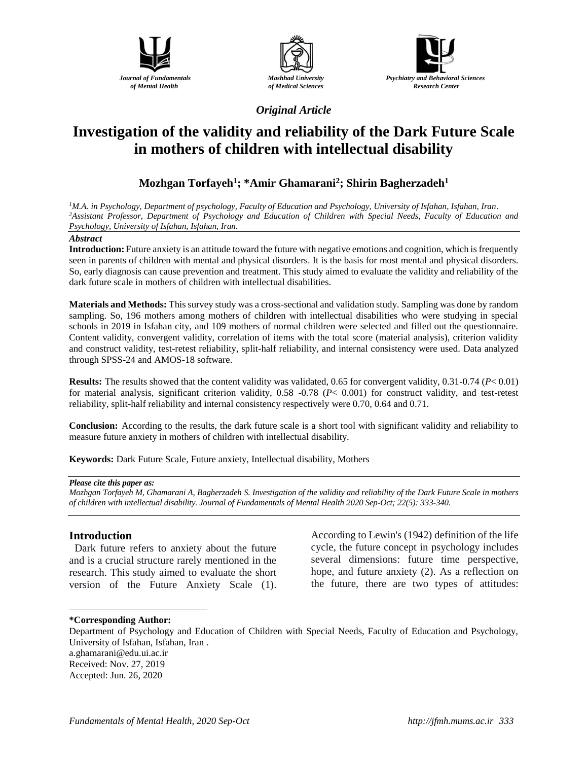





*Original Article*

# **Investigation of the validity and reliability of the Dark Future Scale in mothers of children with intellectual disability**

## **Mozhgan Torfayeh<sup>1</sup> ; \*Amir Ghamarani<sup>2</sup> ; Shirin Bagherzadeh<sup>1</sup>**

*<sup>1</sup>M.A. in Psychology, Department of psychology, Faculty of Education and Psychology, University of Isfahan, Isfahan, Iran. <sup>2</sup>Assistant Professor, Department of Psychology and Education of Children with Special Needs, Faculty of Education and Psychology, University of Isfahan, Isfahan, Iran.*

### *Abstract*

**Introduction:**Future anxiety is an attitude toward the future with negative emotions and cognition, which is frequently seen in parents of children with mental and physical disorders. It is the basis for most mental and physical disorders. So, early diagnosis can cause prevention and treatment. This study aimed to evaluate the validity and reliability of the dark future scale in mothers of children with intellectual disabilities.

**Materials and Methods:** This survey study was a cross-sectional and validation study. Sampling was done by random sampling. So, 196 mothers among mothers of children with intellectual disabilities who were studying in special schools in 2019 in Isfahan city, and 109 mothers of normal children were selected and filled out the questionnaire. Content validity, convergent validity, correlation of items with the total score (material analysis), criterion validity and construct validity, test-retest reliability, split-half reliability, and internal consistency were used. Data analyzed through SPSS-24 and AMOS-18 software.

**Results:** The results showed that the content validity was validated, 0.65 for convergent validity, 0.31-0.74 (*P*< 0.01) for material analysis, significant criterion validity, 0.58 -0.78 (*P*< 0.001) for construct validity, and test-retest reliability, split-half reliability and internal consistency respectively were 0.70, 0.64 and 0.71.

**Conclusion:** According to the results, the dark future scale is a short tool with significant validity and reliability to measure future anxiety in mothers of children with intellectual disability.

**Keywords:** Dark Future Scale, Future anxiety, Intellectual disability, Mothers

### *Please cite this paper as:*

*Mozhgan Torfayeh M, Ghamarani A, Bagherzadeh S. Investigation of the validity and reliability of the Dark Future Scale in mothers of children with intellectual disability. Journal of Fundamentals of Mental Health 2020 Sep-Oct; 22(5): 333-340.*

### **Introduction**

Dark future refers to anxiety about the future and is a crucial structure rarely mentioned in the research. This study aimed to evaluate the short version of the Future Anxiety Scale (1).

According to Lewin's (1942) definition of the life cycle, the future concept in psychology includes several dimensions: future time perspective, hope, and future anxiety (2). As a reflection on the future, there are two types of attitudes:

### $\overline{a}$ **\*Corresponding Author:**

a.ghamarani@edu.ui.ac.ir Received: Nov. 27, 2019 Accepted: Jun. 26, 2020

Department of Psychology and Education of Children with Special Needs, Faculty of Education and Psychology, University of Isfahan, Isfahan, Iran .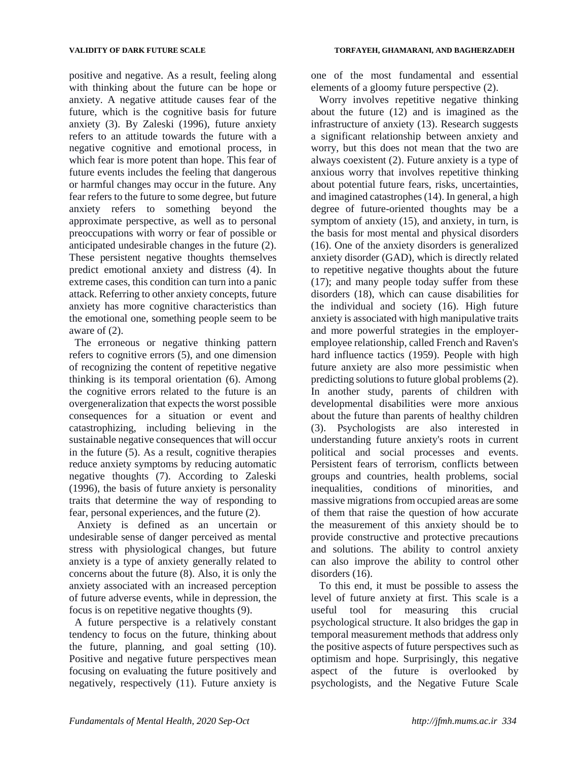positive and negative. As a result, feeling along with thinking about the future can be hope or anxiety. A negative attitude causes fear of the future, which is the cognitive basis for future anxiety (3). By Zaleski (1996), future anxiety refers to an attitude towards the future with a negative cognitive and emotional process, in which fear is more potent than hope. This fear of future events includes the feeling that dangerous or harmful changes may occur in the future. Any fear refers to the future to some degree, but future anxiety refers to something beyond the approximate perspective, as well as to personal preoccupations with worry or fear of possible or anticipated undesirable changes in the future (2). These persistent negative thoughts themselves predict emotional anxiety and distress (4). In extreme cases, this condition can turn into a panic attack. Referring to other anxiety concepts, future anxiety has more cognitive characteristics than the emotional one, something people seem to be aware of (2).

The erroneous or negative thinking pattern refers to cognitive errors (5), and one dimension of recognizing the content of repetitive negative thinking is its temporal orientation (6). Among the cognitive errors related to the future is an overgeneralization that expects the worst possible consequences for a situation or event and catastrophizing, including believing in the sustainable negative consequences that will occur in the future (5). As a result, cognitive therapies reduce anxiety symptoms by reducing automatic negative thoughts (7). According to Zaleski (1996), the basis of future anxiety is personality traits that determine the way of responding to fear, personal experiences, and the future (2).

Anxiety is defined as an uncertain or undesirable sense of danger perceived as mental stress with physiological changes, but future anxiety is a type of anxiety generally related to concerns about the future (8). Also, it is only the anxiety associated with an increased perception of future adverse events, while in depression, the focus is on repetitive negative thoughts (9).

A future perspective is a relatively constant tendency to focus on the future, thinking about the future, planning, and goal setting (10). Positive and negative future perspectives mean focusing on evaluating the future positively and negatively, respectively (11). Future anxiety is

one of the most fundamental and essential elements of a gloomy future perspective (2).

Worry involves repetitive negative thinking about the future (12) and is imagined as the infrastructure of anxiety (13). Research suggests a significant relationship between anxiety and worry, but this does not mean that the two are always coexistent (2). Future anxiety is a type of anxious worry that involves repetitive thinking about potential future fears, risks, uncertainties, and imagined catastrophes (14). In general, a high degree of future-oriented thoughts may be a symptom of anxiety (15), and anxiety, in turn, is the basis for most mental and physical disorders (16). One of the anxiety disorders is generalized anxiety disorder (GAD), which is directly related to repetitive negative thoughts about the future (17); and many people today suffer from these disorders (18), which can cause disabilities for the individual and society (16). High future anxiety is associated with high manipulative traits and more powerful strategies in the employeremployee relationship, called French and Raven's hard influence tactics (1959). People with high future anxiety are also more pessimistic when predicting solutions to future global problems (2). In another study, parents of children with developmental disabilities were more anxious about the future than parents of healthy children (3). Psychologists are also interested in understanding future anxiety's roots in current political and social processes and events. Persistent fears of terrorism, conflicts between groups and countries, health problems, social inequalities, conditions of minorities, and massive migrations from occupied areas are some of them that raise the question of how accurate the measurement of this anxiety should be to provide constructive and protective precautions and solutions. The ability to control anxiety can also improve the ability to control other disorders  $(16)$ .

To this end, it must be possible to assess the level of future anxiety at first. This scale is a useful tool for measuring this crucial psychological structure. It also bridges the gap in temporal measurement methods that address only the positive aspects of future perspectives such as optimism and hope. Surprisingly, this negative aspect of the future is overlooked by psychologists, and the Negative Future Scale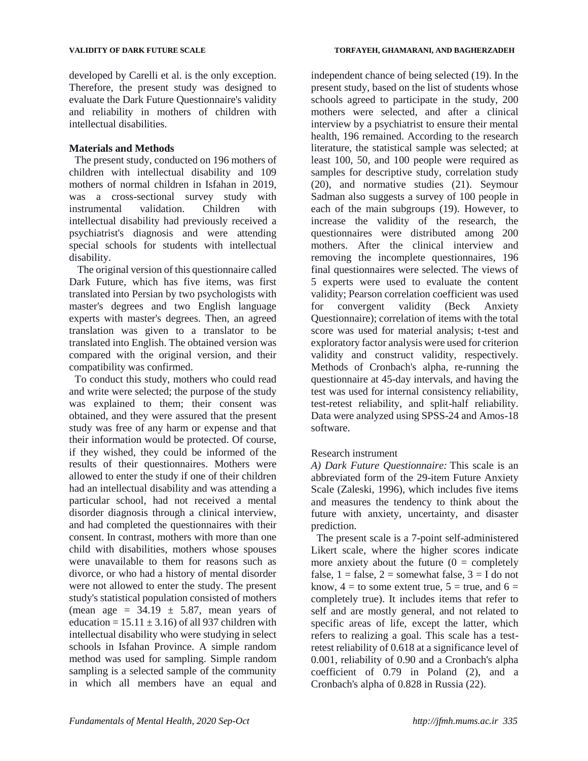developed by Carelli et al. is the only exception. Therefore, the present study was designed to evaluate the Dark Future Questionnaire's validity and reliability in mothers of children with intellectual disabilities.

### **Materials and Methods**

The present study, conducted on 196 mothers of children with intellectual disability and 109 mothers of normal children in Isfahan in 2019, was a cross-sectional survey study with instrumental validation. Children with intellectual disability had previously received a psychiatrist's diagnosis and were attending special schools for students with intellectual disability.

The original version of this questionnaire called Dark Future, which has five items, was first translated into Persian by two psychologists with master's degrees and two English language experts with master's degrees. Then, an agreed translation was given to a translator to be translated into English. The obtained version was compared with the original version, and their compatibility was confirmed.

To conduct this study, mothers who could read and write were selected; the purpose of the study was explained to them; their consent was obtained, and they were assured that the present study was free of any harm or expense and that their information would be protected. Of course, if they wished, they could be informed of the results of their questionnaires. Mothers were allowed to enter the study if one of their children had an intellectual disability and was attending a particular school, had not received a mental disorder diagnosis through a clinical interview, and had completed the questionnaires with their consent. In contrast, mothers with more than one child with disabilities, mothers whose spouses were unavailable to them for reasons such as divorce, or who had a history of mental disorder were not allowed to enter the study. The present study's statistical population consisted of mothers (mean age =  $34.19 \pm 5.87$ , mean years of education =  $15.11 \pm 3.16$ ) of all 937 children with intellectual disability who were studying in select schools in Isfahan Province. A simple random method was used for sampling. Simple random sampling is a selected sample of the community in which all members have an equal and

independent chance of being selected (19). In the present study, based on the list of students whose schools agreed to participate in the study, 200 mothers were selected, and after a clinical interview by a psychiatrist to ensure their mental health, 196 remained. According to the research literature, the statistical sample was selected; at least 100, 50, and 100 people were required as samples for descriptive study, correlation study (20), and normative studies (21). Seymour Sadman also suggests a survey of 100 people in each of the main subgroups (19). However, to increase the validity of the research, the questionnaires were distributed among 200 mothers. After the clinical interview and removing the incomplete questionnaires, 196 final questionnaires were selected. The views of 5 experts were used to evaluate the content validity; Pearson correlation coefficient was used for convergent validity (Beck Anxiety Questionnaire); correlation of items with the total score was used for material analysis; t-test and exploratory factor analysis were used for criterion validity and construct validity, respectively. Methods of Cronbach's alpha, re-running the questionnaire at 45-day intervals, and having the test was used for internal consistency reliability, test-retest reliability, and split-half reliability. Data were analyzed using SPSS-24 and Amos-18 software.

### Research instrument

*A) Dark Future Questionnaire:* This scale is an abbreviated form of the 29-item Future Anxiety Scale (Zaleski, 1996), which includes five items and measures the tendency to think about the future with anxiety, uncertainty, and disaster prediction.

The present scale is a 7-point self-administered Likert scale, where the higher scores indicate more anxiety about the future  $(0 = \text{completely})$ false,  $1 =$  false,  $2 =$  somewhat false,  $3 =$  I do not know,  $4 =$  to some extent true,  $5 =$  true, and  $6 =$ completely true). It includes items that refer to self and are mostly general, and not related to specific areas of life, except the latter, which refers to realizing a goal. This scale has a testretest reliability of 0.618 at a significance level of 0.001, reliability of 0.90 and a Cronbach's alpha coefficient of 0.79 in Poland (2), and a Cronbach's alpha of 0.828 in Russia (22).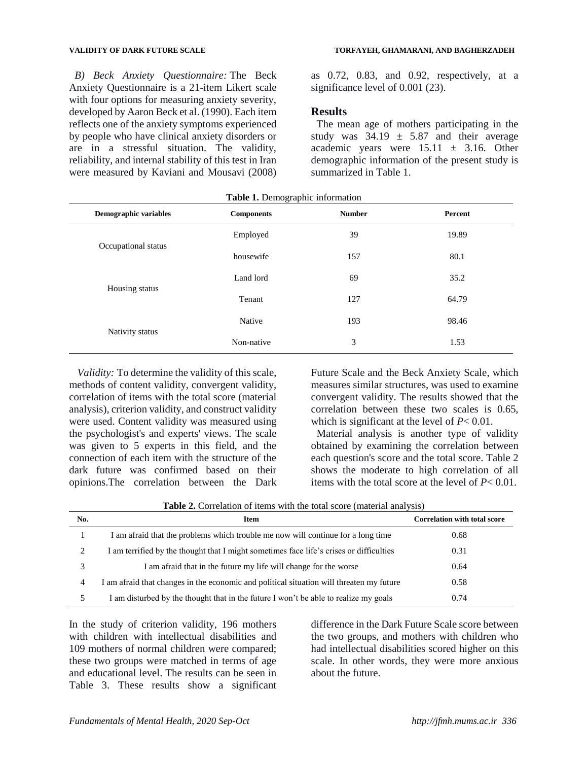*B) Beck Anxiety Questionnaire:* The Beck Anxiety Questionnaire is a 21-item Likert scale with four options for measuring anxiety severity, developed by Aaron Beck et al. (1990). Each item reflects one of the anxiety symptoms experienced by people who have clinical anxiety disorders or are in a stressful situation. The validity, reliability, and internal stability of this test in Iran were measured by Kaviani and Mousavi (2008)

### **VALIDITY OF DARK FUTURE SCALE TORFAYEH, GHAMARANI, AND BAGHERZADEH**

as 0.72, 0.83, and 0.92, respectively, at a significance level of 0.001 (23).

### **Results**

The mean age of mothers participating in the study was  $34.19 \pm 5.87$  and their average academic years were  $15.11 \pm 3.16$ . Other demographic information of the present study is summarized in Table 1.

| Demographic variables | <b>Components</b> | <b>Number</b> | Percent |  |
|-----------------------|-------------------|---------------|---------|--|
|                       | Employed          | 39            | 19.89   |  |
| Occupational status   | housewife         | 157           | 80.1    |  |
|                       | Land lord         | 69            | 35.2    |  |
| Housing status        | Tenant            | 127           | 64.79   |  |
|                       | Native            | 193           | 98.46   |  |
| Nativity status       | Non-native        | 3             | 1.53    |  |

*Validity:* To determine the validity of this scale, methods of content validity, convergent validity, correlation of items with the total score (material analysis), criterion validity, and construct validity were used. Content validity was measured using the psychologist's and experts' views. The scale was given to 5 experts in this field, and the connection of each item with the structure of the dark future was confirmed based on their opinions.The correlation between the Dark

Future Scale and the Beck Anxiety Scale, which measures similar structures, was used to examine convergent validity. The results showed that the correlation between these two scales is 0.65, which is significant at the level of *P*< 0.01.

Material analysis is another type of validity obtained by examining the correlation between each question's score and the total score. Table 2 shows the moderate to high correlation of all items with the total score at the level of *P*< 0.01.

**Table 2.** Correlation of items with the total score (material analysis)

| No. | <b>Item</b>                                                                              | <b>Correlation with total score</b> |
|-----|------------------------------------------------------------------------------------------|-------------------------------------|
|     | I am afraid that the problems which trouble me now will continue for a long time         | 0.68                                |
| 2   | I am terrified by the thought that I might sometimes face life's crises or difficulties  | 0.31                                |
|     | I am afraid that in the future my life will change for the worse                         | 0.64                                |
| 4   | I am afraid that changes in the economic and political situation will threaten my future | 0.58                                |
| 5   | am disturbed by the thought that in the future I won't be able to realize my goals       | 0.74                                |

In the study of criterion validity, 196 mothers with children with intellectual disabilities and 109 mothers of normal children were compared; these two groups were matched in terms of age and educational level. The results can be seen in Table 3. These results show a significant

difference in the Dark Future Scale score between the two groups, and mothers with children who had intellectual disabilities scored higher on this scale. In other words, they were more anxious about the future.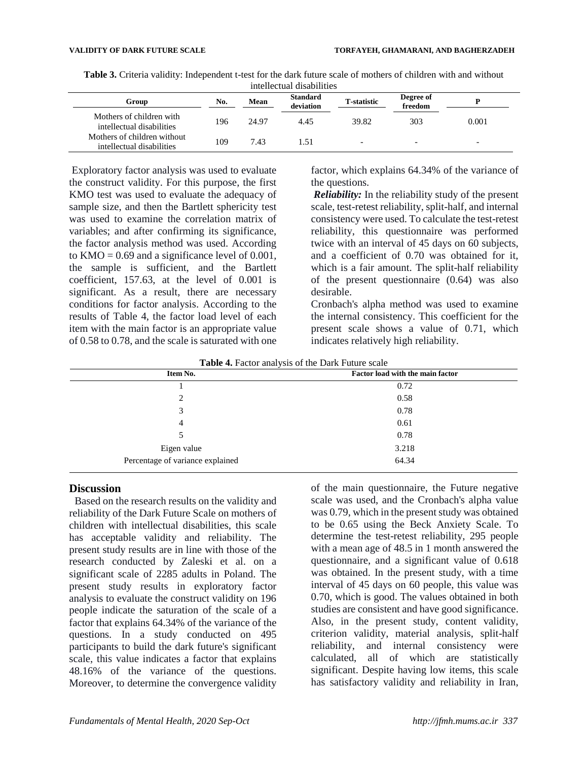|  |  |  | <b>Table 3.</b> Criteria validity: Independent t-test for the dark future scale of mothers of children with and without |  |  |  |  |  |  |  |  |  |  |  |
|--|--|--|-------------------------------------------------------------------------------------------------------------------------|--|--|--|--|--|--|--|--|--|--|--|
|  |  |  |                                                                                                                         |  |  |  |  |  |  |  |  |  |  |  |

| micheciual uisabilities                                  |     |       |                              |                          |                      |       |  |
|----------------------------------------------------------|-----|-------|------------------------------|--------------------------|----------------------|-------|--|
| Group                                                    | No. | Mean  | <b>Standard</b><br>deviation | <b>T</b> -statistic      | Degree of<br>freedom |       |  |
| Mothers of children with<br>intellectual disabilities    | 196 | 24.97 | 4.45                         | 39.82                    | 303                  | 0.001 |  |
| Mothers of children without<br>intellectual disabilities | 109 | 7.43  | .51                          | $\overline{\phantom{0}}$ |                      |       |  |

Exploratory factor analysis was used to evaluate the construct validity. For this purpose, the first KMO test was used to evaluate the adequacy of sample size, and then the Bartlett sphericity test was used to examine the correlation matrix of variables; and after confirming its significance, the factor analysis method was used. According to  $KMO = 0.69$  and a significance level of 0.001, the sample is sufficient, and the Bartlett coefficient, 157.63, at the level of 0.001 is significant. As a result, there are necessary conditions for factor analysis. According to the results of Table 4, the factor load level of each item with the main factor is an appropriate value of 0.58 to 0.78, and the scale is saturated with one

factor, which explains 64.34% of the variance of the questions.

*Reliability:* In the reliability study of the present scale, test-retest reliability, split-half, and internal consistency were used. To calculate the test-retest reliability, this questionnaire was performed twice with an interval of 45 days on 60 subjects, and a coefficient of 0.70 was obtained for it, which is a fair amount. The split-half reliability of the present questionnaire (0.64) was also desirable.

Cronbach's alpha method was used to examine the internal consistency. This coefficient for the present scale shows a value of 0.71, which indicates relatively high reliability.

| <b>Table 4.</b> Pactor analysis of the Dark Putting scale |                                         |  |  |  |
|-----------------------------------------------------------|-----------------------------------------|--|--|--|
| Item No.                                                  | <b>Factor load with the main factor</b> |  |  |  |
|                                                           | 0.72                                    |  |  |  |
|                                                           | 0.58                                    |  |  |  |
|                                                           | 0.78                                    |  |  |  |
|                                                           | 0.61                                    |  |  |  |

 $5 \t\t 0.78$ Eigen value 3.218

Percentage of variance explained 64.34

**Table 4.** Factor analysis of the Dark Future scale

**Discussion**

Based on the research results on the validity and reliability of the Dark Future Scale on mothers of children with intellectual disabilities, this scale has acceptable validity and reliability. The present study results are in line with those of the research conducted by Zaleski et al. on a significant scale of 2285 adults in Poland. The present study results in exploratory factor analysis to evaluate the construct validity on 196 people indicate the saturation of the scale of a factor that explains 64.34% of the variance of the questions. In a study conducted on 495 participants to build the dark future's significant scale, this value indicates a factor that explains 48.16% of the variance of the questions. Moreover, to determine the convergence validity

of the main questionnaire, the Future negative scale was used, and the Cronbach's alpha value was 0.79, which in the present study was obtained to be 0.65 using the Beck Anxiety Scale. To determine the test-retest reliability, 295 people with a mean age of 48.5 in 1 month answered the questionnaire, and a significant value of 0.618 was obtained. In the present study, with a time interval of 45 days on 60 people, this value was 0.70, which is good. The values obtained in both studies are consistent and have good significance. Also, in the present study, content validity, criterion validity, material analysis, split-half reliability, and internal consistency were calculated, all of which are statistically significant. Despite having low items, this scale has satisfactory validity and reliability in Iran,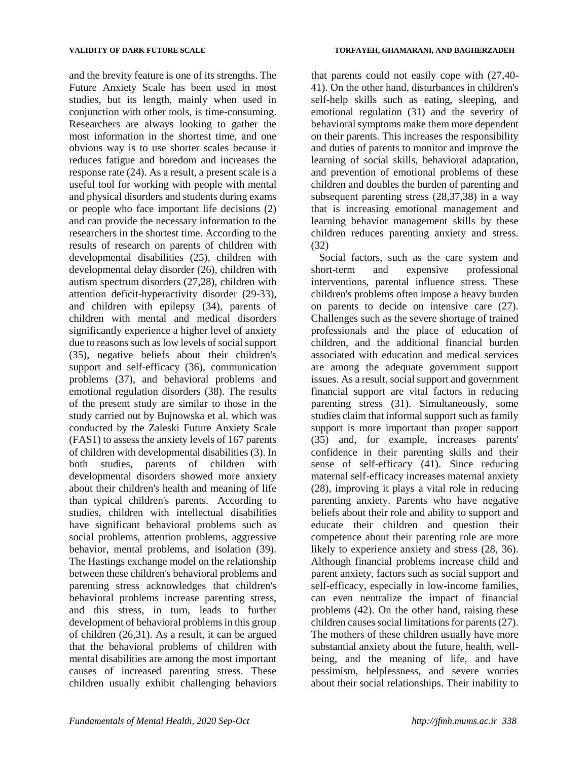and the brevity feature is one of its strengths. The Future Anxiety Scale has been used in most studies, but its length, mainly when used in conjunction with other tools, is time-consuming. Researchers are always looking to gather the most information in the shortest time, and one obvious way is to use shorter scales because it reduces fatigue and boredom and increases the response rate (24). As a result, a present scale is a useful tool for working with people with mental and physical disorders and students during exams or people who face important life decisions (2) and can provide the necessary information to the researchers in the shortest time. According to the results of research on parents of children with developmental disabilities (25), children with developmental delay disorder (26), children with autism spectrum disorders (27,28), children with attention deficit-hyperactivity disorder (29-33), and children with epilepsy (34), parents of children with mental and medical disorders significantly experience a higher level of anxiety due to reasons such as low levels of social support (35), negative beliefs about their children's support and self-efficacy (36), communication problems (37), and behavioral problems and emotional regulation disorders (38). The results of the present study are similar to those in the study carried out by Bujnowska et al. which was conducted by the Zaleski Future Anxiety Scale (FAS1) to assess the anxiety levels of 167 parents of children with developmental disabilities (3). In both studies, parents of children with developmental disorders showed more anxiety about their children's health and meaning of life than typical children's parents. According to studies, children with intellectual disabilities have significant behavioral problems such as social problems, attention problems, aggressive behavior, mental problems, and isolation (39). The Hastings exchange model on the relationship between these children's behavioral problems and parenting stress acknowledges that children's behavioral problems increase parenting stress, and this stress, in turn, leads to further development of behavioral problems in this group of children (26,31). As a result, it can be argued that the behavioral problems of children with mental disabilities are among the most important causes of increased parenting stress. These children usually exhibit challenging behaviors

that parents could not easily cope with (27,40- 41). On the other hand, disturbances in children's self-help skills such as eating, sleeping, and emotional regulation (31) and the severity of behavioral symptoms make them more dependent on their parents. This increases the responsibility and duties of parents to monitor and improve the learning of social skills, behavioral adaptation, and prevention of emotional problems of these children and doubles the burden of parenting and subsequent parenting stress (28,37,38) in a way that is increasing emotional management and learning behavior management skills by these children reduces parenting anxiety and stress. (32)

Social factors, such as the care system and short-term and expensive professional interventions, parental influence stress. These children's problems often impose a heavy burden on parents to decide on intensive care (27). Challenges such as the severe shortage of trained professionals and the place of education of children, and the additional financial burden associated with education and medical services are among the adequate government support issues. As a result, social support and government financial support are vital factors in reducing parenting stress (31). Simultaneously, some studies claim that informal support such as family support is more important than proper support (35) and, for example, increases parents' confidence in their parenting skills and their sense of self-efficacy (41). Since reducing maternal self-efficacy increases maternal anxiety (28), improving it plays a vital role in reducing parenting anxiety. Parents who have negative beliefs about their role and ability to support and educate their children and question their competence about their parenting role are more likely to experience anxiety and stress (28, 36). Although financial problems increase child and parent anxiety, factors such as social support and self-efficacy, especially in low-income families, can even neutralize the impact of financial problems (42). On the other hand, raising these children causes social limitations for parents (27). The mothers of these children usually have more substantial anxiety about the future, health, wellbeing, and the meaning of life, and have pessimism, helplessness, and severe worries about their social relationships. Their inability to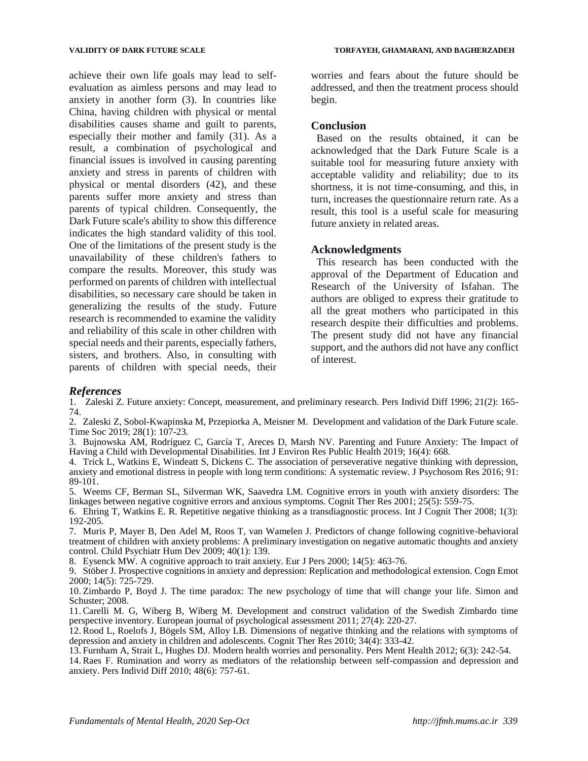achieve their own life goals may lead to selfevaluation as aimless persons and may lead to anxiety in another form (3). In countries like China, having children with physical or mental disabilities causes shame and guilt to parents, especially their mother and family (31). As a result, a combination of psychological and financial issues is involved in causing parenting anxiety and stress in parents of children with physical or mental disorders (42), and these parents suffer more anxiety and stress than parents of typical children. Consequently, the Dark Future scale's ability to show this difference indicates the high standard validity of this tool. One of the limitations of the present study is the unavailability of these children's fathers to compare the results. Moreover, this study was performed on parents of children with intellectual disabilities, so necessary care should be taken in generalizing the results of the study. Future research is recommended to examine the validity and reliability of this scale in other children with special needs and their parents, especially fathers, sisters, and brothers. Also, in consulting with parents of children with special needs, their

worries and fears about the future should be addressed, and then the treatment process should begin.

### **Conclusion**

Based on the results obtained, it can be acknowledged that the Dark Future Scale is a suitable tool for measuring future anxiety with acceptable validity and reliability; due to its shortness, it is not time-consuming, and this, in turn, increases the questionnaire return rate. As a result, this tool is a useful scale for measuring future anxiety in related areas.

### **Acknowledgments**

This research has been conducted with the approval of the Department of Education and Research of the University of Isfahan. The authors are obliged to express their gratitude to all the great mothers who participated in this research despite their difficulties and problems. The present study did not have any financial support, and the authors did not have any conflict of interest.

### *References*

1. Zaleski Z. Future anxiety: Concept, measurement, and preliminary research. Pers Individ Diff 1996; 21(2): 165- 74.

2. Zaleski Z, Sobol-Kwapinska M, Przepiorka A, Meisner M. Development and validation of the Dark Future scale. Time Soc 2019; 28(1): 107-23.

3. Bujnowska AM, Rodríguez C, García T, Areces D, Marsh NV. Parenting and Future Anxiety: The Impact of Having a Child with Developmental Disabilities. Int J Environ Res Public Health 2019; 16(4): 668.

4. Trick L, Watkins E, Windeatt S, Dickens C. The association of perseverative negative thinking with depression, anxiety and emotional distress in people with long term conditions: A systematic review. J Psychosom Res 2016; 91: 89-101.

5. Weems CF, Berman SL, Silverman WK, Saavedra LM. Cognitive errors in youth with anxiety disorders: The linkages between negative cognitive errors and anxious symptoms. Cognit Ther Res 2001; 25(5): 559-75.

6. Ehring T, Watkins E. R. Repetitive negative thinking as a transdiagnostic process. Int J Cognit Ther 2008; 1(3): 192-205.

7. Muris P, Mayer B, Den Adel M, Roos T, van Wamelen J. Predictors of change following cognitive-behavioral treatment of children with anxiety problems: A preliminary investigation on negative automatic thoughts and anxiety control. Child Psychiatr Hum Dev 2009; 40(1): 139.

8. Eysenck MW. A cognitive approach to trait anxiety. Eur J Pers 2000; 14(5): 463-76.

9. Stöber J. Prospective cognitions in anxiety and depression: Replication and methodological extension. Cogn Emot 2000; 14(5): 725-729.

10. Zimbardo P, Boyd J. The time paradox: The new psychology of time that will change your life. Simon and Schuster; 2008.

11. Carelli M. G, Wiberg B, Wiberg M. Development and construct validation of the Swedish Zimbardo time perspective inventory. European journal of psychological assessment 2011; 27(4): 220-27.

12. Rood L, Roelofs J, Bögels SM, Alloy LB. Dimensions of negative thinking and the relations with symptoms of depression and anxiety in children and adolescents. Cognit Ther Res 2010;  $34(\overline{4})$ : 333-42.

13. Furnham A, Strait L, Hughes DJ. Modern health worries and personality. Pers Ment Health 2012; 6(3): 242-54.

14. Raes F. Rumination and worry as mediators of the relationship between self-compassion and depression and anxiety. Pers Individ Diff 2010; 48(6): 757-61.